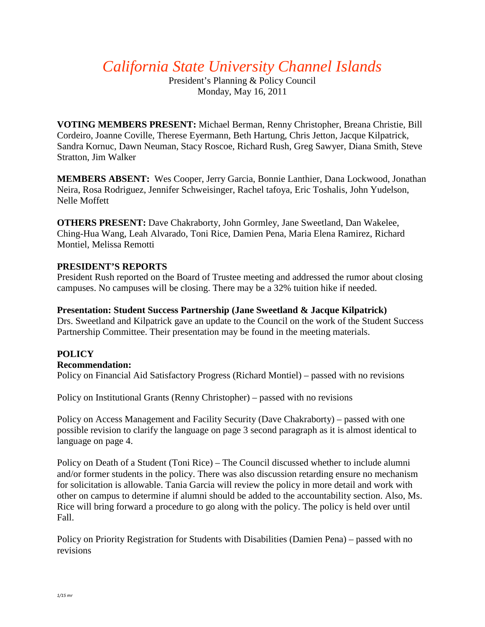*California State University Channel Islands*

President's Planning & Policy Council Monday, May 16, 2011

**VOTING MEMBERS PRESENT:** Michael Berman, Renny Christopher, Breana Christie, Bill Cordeiro, Joanne Coville, Therese Eyermann, Beth Hartung, Chris Jetton, Jacque Kilpatrick, Sandra Kornuc, Dawn Neuman, Stacy Roscoe, Richard Rush, Greg Sawyer, Diana Smith, Steve Stratton, Jim Walker

**MEMBERS ABSENT:** Wes Cooper, Jerry Garcia, Bonnie Lanthier, Dana Lockwood, Jonathan Neira, Rosa Rodriguez, Jennifer Schweisinger, Rachel tafoya, Eric Toshalis, John Yudelson, Nelle Moffett

**OTHERS PRESENT:** Dave Chakraborty, John Gormley, Jane Sweetland, Dan Wakelee, Ching-Hua Wang, Leah Alvarado, Toni Rice, Damien Pena, Maria Elena Ramirez, Richard Montiel, Melissa Remotti

## **PRESIDENT'S REPORTS**

President Rush reported on the Board of Trustee meeting and addressed the rumor about closing campuses. No campuses will be closing. There may be a 32% tuition hike if needed.

## **Presentation: Student Success Partnership (Jane Sweetland & Jacque Kilpatrick)**

Drs. Sweetland and Kilpatrick gave an update to the Council on the work of the Student Success Partnership Committee. Their presentation may be found in the meeting materials.

## **POLICY**

## **Recommendation:**

Policy on Financial Aid Satisfactory Progress (Richard Montiel) – passed with no revisions

Policy on Institutional Grants (Renny Christopher) – passed with no revisions

Policy on Access Management and Facility Security (Dave Chakraborty) – passed with one possible revision to clarify the language on page 3 second paragraph as it is almost identical to language on page 4.

Policy on Death of a Student (Toni Rice) – The Council discussed whether to include alumni and/or former students in the policy. There was also discussion retarding ensure no mechanism for solicitation is allowable. Tania Garcia will review the policy in more detail and work with other on campus to determine if alumni should be added to the accountability section. Also, Ms. Rice will bring forward a procedure to go along with the policy. The policy is held over until Fall.

Policy on Priority Registration for Students with Disabilities (Damien Pena) – passed with no revisions